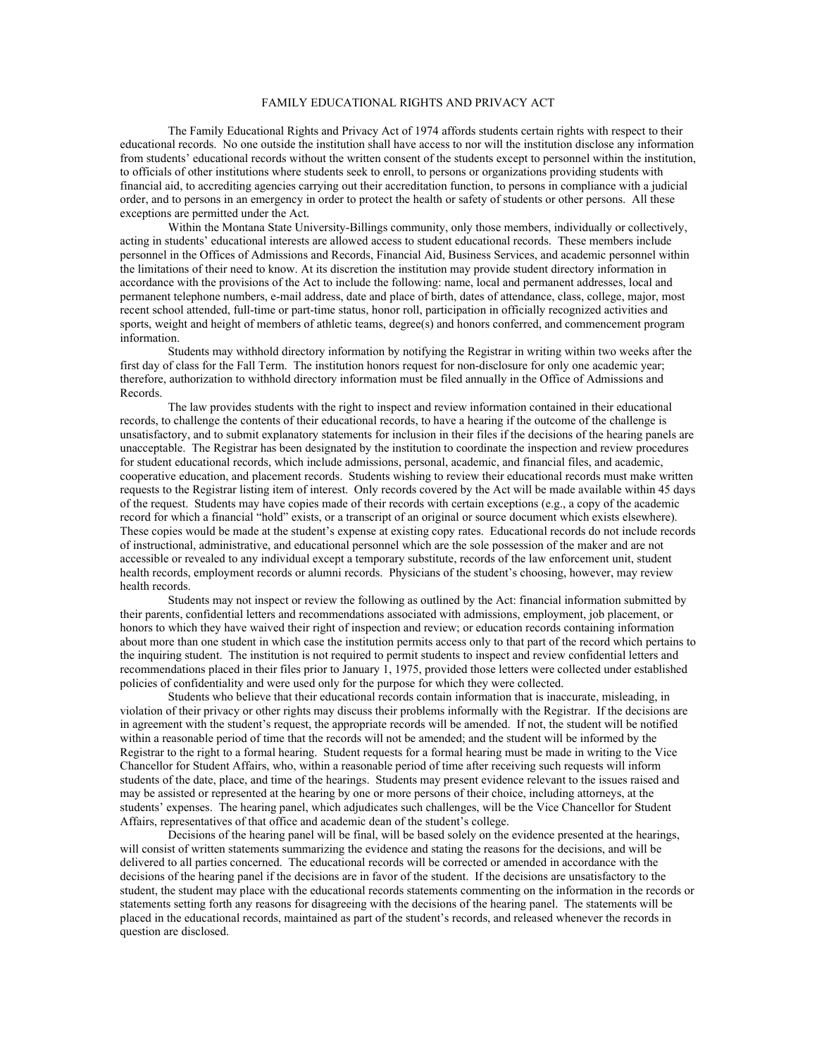## FAMILY EDUCATIONAL RIGHTS AND PRIVACY ACT

 The Family Educational Rights and Privacy Act of 1974 affords students certain rights with respect to their educational records. No one outside the institution shall have access to nor will the institution disclose any information from students' educational records without the written consent of the students except to personnel within the institution, to officials of other institutions where students seek to enroll, to persons or organizations providing students with financial aid, to accrediting agencies carrying out their accreditation function, to persons in compliance with a judicial order, and to persons in an emergency in order to protect the health or safety of students or other persons. All these exceptions are permitted under the Act.

Within the Montana State University-Billings community, only those members, individually or collectively, acting in students' educational interests are allowed access to student educational records. These members include personnel in the Offices of Admissions and Records, Financial Aid, Business Services, and academic personnel within the limitations of their need to know. At its discretion the institution may provide student directory information in accordance with the provisions of the Act to include the following: name, local and permanent addresses, local and permanent telephone numbers, e-mail address, date and place of birth, dates of attendance, class, college, major, most recent school attended, full-time or part-time status, honor roll, participation in officially recognized activities and sports, weight and height of members of athletic teams, degree(s) and honors conferred, and commencement program information.

Students may withhold directory information by notifying the Registrar in writing within two weeks after the first day of class for the Fall Term. The institution honors request for non-disclosure for only one academic year; therefore, authorization to withhold directory information must be filed annually in the Office of Admissions and Records.

The law provides students with the right to inspect and review information contained in their educational records, to challenge the contents of their educational records, to have a hearing if the outcome of the challenge is unsatisfactory, and to submit explanatory statements for inclusion in their files if the decisions of the hearing panels are unacceptable. The Registrar has been designated by the institution to coordinate the inspection and review procedures for student educational records, which include admissions, personal, academic, and financial files, and academic, cooperative education, and placement records. Students wishing to review their educational records must make written requests to the Registrar listing item of interest. Only records covered by the Act will be made available within 45 days of the request. Students may have copies made of their records with certain exceptions (e.g., a copy of the academic record for which a financial "hold" exists, or a transcript of an original or source document which exists elsewhere). These copies would be made at the student's expense at existing copy rates. Educational records do not include records of instructional, administrative, and educational personnel which are the sole possession of the maker and are not accessible or revealed to any individual except a temporary substitute, records of the law enforcement unit, student health records, employment records or alumni records. Physicians of the student's choosing, however, may review health records.

Students may not inspect or review the following as outlined by the Act: financial information submitted by their parents, confidential letters and recommendations associated with admissions, employment, job placement, or honors to which they have waived their right of inspection and review; or education records containing information about more than one student in which case the institution permits access only to that part of the record which pertains to the inquiring student. The institution is not required to permit students to inspect and review confidential letters and recommendations placed in their files prior to January 1, 1975, provided those letters were collected under established policies of confidentiality and were used only for the purpose for which they were collected.

Students who believe that their educational records contain information that is inaccurate, misleading, in violation of their privacy or other rights may discuss their problems informally with the Registrar. If the decisions are in agreement with the student's request, the appropriate records will be amended. If not, the student will be notified within a reasonable period of time that the records will not be amended; and the student will be informed by the Registrar to the right to a formal hearing. Student requests for a formal hearing must be made in writing to the Vice Chancellor for Student Affairs, who, within a reasonable period of time after receiving such requests will inform students of the date, place, and time of the hearings. Students may present evidence relevant to the issues raised and may be assisted or represented at the hearing by one or more persons of their choice, including attorneys, at the students' expenses. The hearing panel, which adjudicates such challenges, will be the Vice Chancellor for Student Affairs, representatives of that office and academic dean of the student's college.

Decisions of the hearing panel will be final, will be based solely on the evidence presented at the hearings, will consist of written statements summarizing the evidence and stating the reasons for the decisions, and will be delivered to all parties concerned. The educational records will be corrected or amended in accordance with the decisions of the hearing panel if the decisions are in favor of the student. If the decisions are unsatisfactory to the student, the student may place with the educational records statements commenting on the information in the records or statements setting forth any reasons for disagreeing with the decisions of the hearing panel. The statements will be placed in the educational records, maintained as part of the student's records, and released whenever the records in question are disclosed.